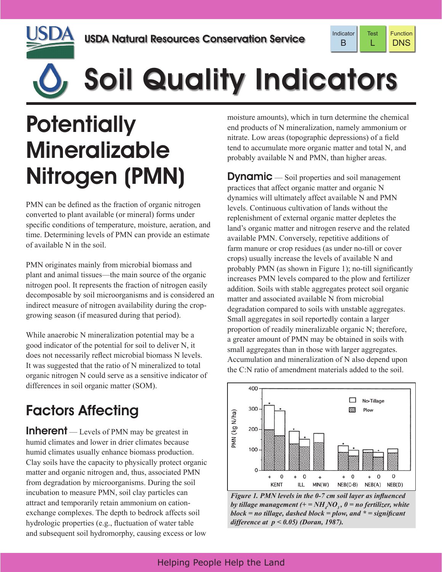



# Soil Quality Indicators

## **Potentially** Mineralizable Nitrogen (PMN)

PMN can be defined as the fraction of organic nitrogen converted to plant available (or mineral) forms under specific conditions of temperature, moisture, aeration, and time. Determining levels of PMN can provide an estimate of available N in the soil.

PMN originates mainly from microbial biomass and plant and animal tissues—the main source of the organic nitrogen pool. It represents the fraction of nitrogen easily decomposable by soil microorganisms and is considered an indirect measure of nitrogen availability during the cropgrowing season (if measured during that period).

While anaerobic N mineralization potential may be a good indicator of the potential for soil to deliver N, it does not necessarily reflect microbial biomass N levels. It was suggested that the ratio of N mineralized to total organic nitrogen N could serve as a sensitive indicator of differences in soil organic matter (SOM).

### Factors Affecting

**Inherent** — Levels of PMN may be greatest in humid climates and lower in drier climates because humid climates usually enhance biomass production. Clay soils have the capacity to physically protect organic matter and organic nitrogen and, thus, associated PMN from degradation by microorganisms. During the soil incubation to measure PMN, soil clay particles can attract and temporarily retain ammonium on cationexchange complexes. The depth to bedrock affects soil hydrologic properties (e.g., fluctuation of water table and subsequent soil hydromorphy, causing excess or low moisture amounts), which in turn determine the chemical end products of N mineralization, namely ammonium or nitrate. Low areas (topographic depressions) of a field tend to accumulate more organic matter and total N, and probably available N and PMN, than higher areas.

**Dynamic** — Soil properties and soil management practices that affect organic matter and organic N dynamics will ultimately affect available N and PMN levels. Continuous cultivation of lands without the replenishment of external organic matter depletes the land's organic matter and nitrogen reserve and the related available PMN. Conversely, repetitive additions of farm manure or crop residues (as under no-till or cover crops) usually increase the levels of available N and probably PMN (as shown in Figure 1); no-till significantly increases PMN levels compared to the plow and fertilizer addition. Soils with stable aggregates protect soil organic matter and associated available N from microbial degradation compared to soils with unstable aggregates. Small aggregates in soil reportedly contain a larger proportion of readily mineralizable organic N; therefore, a greater amount of PMN may be obtained in soils with small aggregates than in those with larger aggregates. Accumulation and mineralization of N also depend upon the C:N ratio of amendment materials added to the soil.



*Figure 1. PMN levels in the 0-7 cm soil layer as influenced*  by tillage management  $(+=NH_{\frac{1}{4}}NO_{3}^{\prime}, 0=$  no fertilizer, white *block = no tillage, dashed block = plow, and \* = significant difference at p < 0.05) (Doran, 1987).*